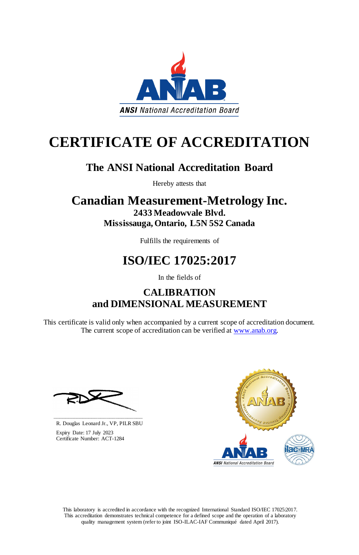This laboratory is accredited in accordance with the recognized International Standard ISO/IEC 17025:2017. This accreditation demonstrates technical competence for a defined scope and the operation of a laboratory quality management system (refer to joint ISO-ILAC-IAF Communiqué dated April 2017).

This certificate is valid only when accompanied by a current scope of accreditation document. The current scope of accreditation can be verified at [www.anab.org.](http://www.anab.org/)







# **CERTIFICATE OF ACCREDITATION**

## **The ANSI National Accreditation Board**

Hereby attests that

### **Canadian Measurement-Metrology Inc. 2433 Meadowvale Blvd. Mississauga, Ontario, L5N 5S2 Canada**

Fulfills the requirements of

# **ISO/IEC 17025:2017**

In the fields of

### **CALIBRATION and DIMENSIONAL MEASUREMENT**

**\_\_\_\_\_\_\_\_\_\_\_\_\_\_\_\_\_\_\_\_\_\_\_\_\_\_\_\_\_\_** R. Douglas Leonard Jr., VP, PILR SBU

 Expiry Date: 17 July 2023 Certificate Number: ACT-1284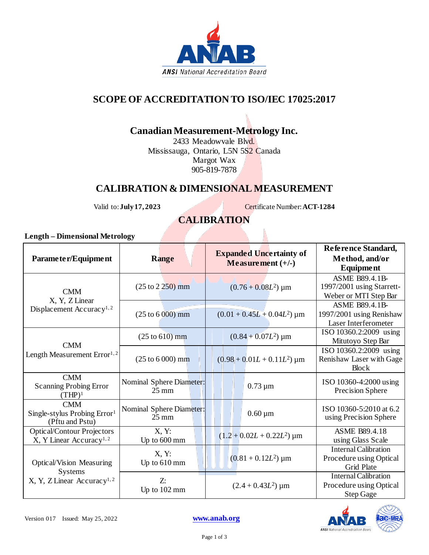

#### **SCOPE OF ACCREDITATION TO ISO/IEC 17025:2017**

#### **Canadian Measurement-Metrology Inc.**

2433 Meadowvale Blvd. Mississauga, Ontario, L5N 5S2 Canada Margot Wax 905-819-7878

#### **CALIBRATION & DIMENSIONAL MEASUREMENT**

Valid to: **July 17, 2023** Certificate Number: **ACT-1284** 

#### **CALIBRATION**

#### **Length – Dimensional Metrology**

| Parameter/Equipment                                                                          | <b>Range</b>                                | <b>Expanded Uncertainty of</b><br>Measurement $(+/-)$ | Reference Standard,<br>Method, and/or<br><b>Equipment</b>                   |
|----------------------------------------------------------------------------------------------|---------------------------------------------|-------------------------------------------------------|-----------------------------------------------------------------------------|
| <b>CMM</b><br>X, Y, Z Linear<br>Displacement Accuracy <sup>1,2</sup>                         | $(25 \text{ to } 2 \, 250) \text{ mm}$      | $(0.76 + 0.08L^2)$ µm                                 | <b>ASME B89.4.1B-</b><br>1997/2001 using Starrett-<br>Weber or MTI Step Bar |
|                                                                                              | $(25 to 6000)$ mm                           | $(0.01 + 0.45L + 0.04L^2)$ µm                         | <b>ASME B89.4.1B-</b><br>1997/2001 using Renishaw<br>Laser Interferometer   |
| <b>CMM</b><br>Length Measurement Error <sup>1,2</sup>                                        | $(25 \text{ to } 610) \text{ mm}$           | $(0.84 + 0.07L^2)$ µm                                 | ISO 10360.2:2009 using<br>Mitutoyo Step Bar                                 |
|                                                                                              | $(25 to 6000)$ mm                           | $(0.98 + 0.01L + 0.11L^2)$ µm                         | ISO 10360.2:2009 using<br>Renishaw Laser with Gage<br><b>Block</b>          |
| <b>CMM</b><br><b>Scanning Probing Error</b><br>$(THP)^1$                                     | Nominal Sphere Diameter:<br>$25 \text{ mm}$ | $0.73 \mu m$                                          | ISO 10360-4:2000 using<br>Precision Sphere                                  |
| <b>CMM</b><br>Single-stylus Probing Error <sup>1</sup><br>(Pftu and Pstu)                    | Nominal Sphere Diameter:<br>$25 \text{ mm}$ | $0.60 \,\mathrm{\upmu m}$                             | ISO 10360-5:2010 at 6.2<br>using Precision Sphere                           |
| <b>Optical/Contour Projectors</b><br>X, Y Linear Accuracy <sup>1,2</sup>                     | X, Y:<br>Up to 600 mm                       | $(1.2 + 0.02L + 0.22L^2)$ µm                          | <b>ASME B89.4.18</b><br>using Glass Scale                                   |
| <b>Optical/Vision Measuring</b><br><b>Systems</b><br>X, Y, Z Linear Accuracy <sup>1, 2</sup> | X, Y:<br>Up to 610 mm                       | $(0.81 + 0.12L^2)$ µm                                 | <b>Internal Calibration</b><br>Procedure using Optical<br><b>Grid Plate</b> |
|                                                                                              | Z:<br>Up to 102 mm                          | $(2.4 + 0.43L^2)$ µm                                  | <b>Internal Calibration</b><br>Procedure using Optical<br>Step Gage         |

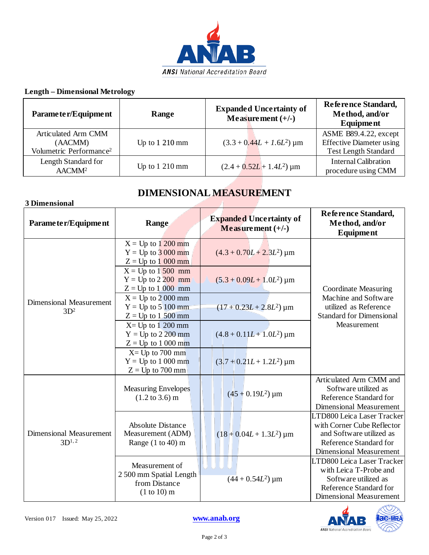

#### **Length – Dimensional Metrology**

| Parameter/Equipment                                                   | Range                      | <b>Expanded Uncertainty of</b><br>Measurement $(+/-)$ | Reference Standard,<br>Method, and/or<br>Equipment                                      |
|-----------------------------------------------------------------------|----------------------------|-------------------------------------------------------|-----------------------------------------------------------------------------------------|
| Articulated Arm CMM<br>(AACMM)<br>Volumetric Performance <sup>2</sup> | Up to $1210 \,\mathrm{mm}$ | $(3.3 + 0.44L + 1.6L^2)$ µm                           | ASME B89.4.22, except<br><b>Effective Diameter using</b><br><b>Test Length Standard</b> |
| Length Standard for<br>AACMM <sup>2</sup>                             | Up to $1210 \text{ mm}$    | $(2.4 + 0.52L + 1.4L^2)$ µm                           | <b>Internal Calibration</b><br>procedure using CMM                                      |

#### **DIMENSIONAL MEASUREMENT**

| 3 Dimensional                                |                                                                           |                                                       |                                                                                                                                                  |  |  |
|----------------------------------------------|---------------------------------------------------------------------------|-------------------------------------------------------|--------------------------------------------------------------------------------------------------------------------------------------------------|--|--|
| Parameter/Equipment                          | Range                                                                     | <b>Expanded Uncertainty of</b><br>Measurement $(+/-)$ | Reference Standard,<br>Method, and/or<br><b>Equipment</b>                                                                                        |  |  |
| <b>Dimensional Measurement</b><br>$3D^2$     | $X = Up$ to 1 200 mm<br>$Y = Up to 3000 mm$<br>$Z = Up$ to 1 000 mm       | $(4.3 + 0.70L + 2.3L^2)$ µm                           | <b>Coordinate Measuring</b><br>Machine and Software<br>utilized as Reference<br><b>Standard for Dimensional</b><br>Measurement                   |  |  |
|                                              | $X = Up to 1500 mm$<br>$Y = Up to 2200 mm$<br>$Z = Up$ to 1 000 mm        | $(5.3 + 0.09L + 1.0L^2)$ µm                           |                                                                                                                                                  |  |  |
|                                              | $X = Up to 2000 mm$<br>$Y = Up to 5100 mm$<br>$Z = Up$ to 1.500 mm        | $(17 + 0.23L + 2.8L^2)$ µm                            |                                                                                                                                                  |  |  |
|                                              | $X = Up to 1200 mm$<br>$Y = Up to 2200 mm$<br>$Z = Up$ to 1 000 mm        | $(4.8 + 0.11L + 1.0L^2)$ µm                           |                                                                                                                                                  |  |  |
|                                              | $X = Up$ to 700 mm<br>$Y = Up$ to 1 000 mm<br>$Z = Up$ to 700 mm          | $(3.7 + 0.21L + 1.2L^2)$ µm                           |                                                                                                                                                  |  |  |
| <b>Dimensional Measurement</b><br>$3D^{1,2}$ | <b>Measuring Envelopes</b><br>$(1.2 \text{ to } 3.6) \text{ m}$           | $(45 + 0.19L^2)$ µm                                   | Articulated Arm CMM and<br>Software utilized as<br>Reference Standard for<br><b>Dimensional Measurement</b>                                      |  |  |
|                                              | <b>Absolute Distance</b><br>Measurement (ADM)<br>Range $(1 to 40)$ m      | $(18 + 0.04L + 1.3L^2)$ µm                            | LTD800 Leica Laser Tracker<br>with Corner Cube Reflector<br>and Software utilized as<br>Reference Standard for<br><b>Dimensional Measurement</b> |  |  |
|                                              | Measurement of<br>2 500 mm Spatial Length<br>from Distance<br>(1 to 10) m | $(44 + 0.54L^2)$ µm                                   | LTD800 Leica Laser Tracker<br>with Leica T-Probe and<br>Software utilized as<br>Reference Standard for<br><b>Dimensional Measurement</b>         |  |  |